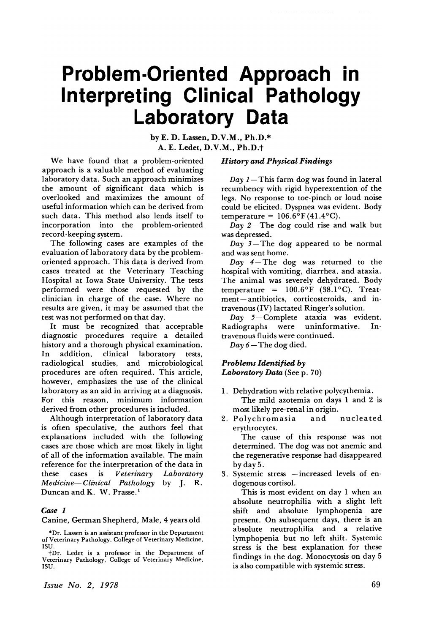# **Problem-Oriented Approach in Interpreting Clinical Pathology Laboratory Data**

by E. D. Lassen, D.V.M., Ph.D.\* A. E. Ledet, D.V.M., Ph.D.t

We have found that a problem-oriented approach is a valuable method of evaluating laboratory data. Such an approach minimizes the amount of significant data which is overlooked and maximizes the amount of useful information which can be derived from such data. This method also lends itself to incorporation into the problem-oriented record-keeping system.

The following cases are examples of the evaluation of laboratory data by the problemoriented approach. This data is derived from cases treated at the Veterinary Teaching Hospital at Iowa State University. The tests performed were those requested by the clinician in charge of the case. Where no results are given, it may be assumed that the test was not performed on that day.

It must be recognized that acceptable diagnostic procedures require a detailed history and a thorough physical examination. In addition, clinical laboratory tests, radiological studies, and microbiological procedures are often required. This article, however, emphasizes the use of the clinical laboratory as an aid in arriving at a diagnosis. For this reason, minimum information derived from other procedures is included.

Although interpretation of laboratory data is often speculative, the authors feel that explanations included with the following cases are those which are most likely in light of all of the information available. The main reference for the interpretation of the data in these cases is *Veterinary Laboratory Medicine-Clinical Pathology* by J. R. Duncan and K. W. Prasse.<sup>1</sup>

#### *Case 1*

Canine, German Shepherd, Male, 4 years old

#### *History and Physical Findings*

 $Day 1$ — This farm dog was found in lateral recumbency with rigid hyperextention of the legs. No response to toe-pinch or loud noise could be elicited. Dyspnea was evident. Body temperature =  $106.6^{\circ}$ F(41.4°C).

 $Day$  2– The dog could rise and walk but was depressed.

 $Day \overline{3}$ -The dog appeared to be normal and was sent home.

*Day*  $4 -$ The dog was returned to the hospital with vomiting, diarrhea, and ataxia. The animal was severely dehydrated. Body temperature =  $100.6^{\circ}$ F (38.1°C). Treatment- antibiotics, corticosteroids, and intravenous (IV) lactated Ringer's solution.

Day 5-Complete ataxia was evident. Radiographs were uninformative. Intravenous fluids were continued.

 $Day 6 - The dog died.$ 

#### *Problems Identified by Laboratory Data* (See p. 70)

- 1. Dehydration with relative polycythemia. The mild azotemia on days 1 and 2 is most likely pre-renal in origin.
- 2. Polychromasia and nucleated erythrocytes.

The cause of this response was not determined. The dog was not anemic and the regenerative response had disappeared byday5.

3. Systemic stress  $-$  increased levels of endogenous cortisol.

This is most evident on day 1 when an absolute neutrophilia with a slight left shift and absolute lymphopenia are present. On subsequent days, there is an absolute neutrophilia and a relative lymphopenia but no left shift. Systemic stress is the best explanation for these findings in the dog. Monocytosis on day 5 is also compatible with systemic stress.

*Issue No.2, 1978*

<sup>\*</sup>Dr. Lassen is an assistant professor in the Department of Veterinary Pathology, College of Veterinary Medicine, ISU.

t Dr. Ledet is a professor in the Department of Veterinary Pathology, College of Veterinary Medicine, ISU.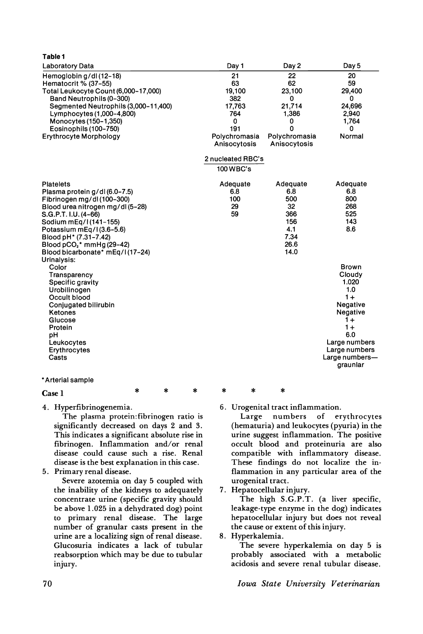| <b>Laboratory Data</b>               | Day 1             | Day 2         | Day 5                      |
|--------------------------------------|-------------------|---------------|----------------------------|
| Hemoglobin g/dl(12-18)               | 21                | 22            | 20                         |
| Hematocrit % (37-55)                 | 63                | 62            | 59                         |
| Total Leukocyte Count (6,000-17,000) | 19,100            | 23,100        | 29,400                     |
| Band Neutrophils (0-300)             | 382               | 0             | 0                          |
| Segmented Neutrophils (3,000-11,400) | 17,763            | 21.714        | 24.696                     |
| Lymphocytes (1,000-4,800)            | 764               | 1,386         | 2,940                      |
| Monocytes (150-1,350)                | 0                 | 0             | 1,764                      |
| Eosinophils (100-750)                | 191               | 0             | 0                          |
| <b>Erythrocyte Morphology</b>        | Polychromasia     | Polychromasia | Normal                     |
|                                      | Anisocytosis      | Anisocytosis  |                            |
|                                      | 2 nucleated RBC's |               |                            |
|                                      | 100 WBC's         |               |                            |
| <b>Platelets</b>                     | Adequate          | Adequate      | Adequate                   |
| Plasma protein g/dl(6.0-7.5)         | 6.8               | 6.8           | 6.8                        |
| Fibrinogen mg/dl(100-300)            | 100               | 500           | 800                        |
| Blood urea nitrogen mg/dl(5-28)      | 29                | 32            | 268                        |
| S.G.P.T. I.U. (4-66)                 | 59                | 366           | 525                        |
| Sodium mEq/l(141-155)                |                   | 156           | 143                        |
| Potassium mEq/l(3.6-5.6)             |                   | 4.1           | 8.6                        |
| Blood pH* (7.31-7.42)                |                   | 7.34          |                            |
| Blood $pCO2$ * mmHg (29-42)          |                   | 26.6          |                            |
| Blood bicarbonate* mEq/l(17-24)      |                   | 14.0          |                            |
| Urinalysis:                          |                   |               |                            |
| Color                                |                   |               | <b>Brown</b>               |
| Transparency                         |                   |               | Cloudy                     |
| Specific gravity                     |                   |               | 1.020                      |
| Urobilinogen                         |                   |               | 1.0                        |
| Occult blood                         |                   |               | $1 +$                      |
| Conjugated bilirubin                 |                   |               | Negative                   |
| Ketones                              |                   |               | Negative                   |
| Glucose                              |                   |               | $1 +$                      |
| Protein                              |                   |               | $1+$                       |
| pH                                   |                   |               | 6.0                        |
| Leukocytes                           |                   |               | Large numbers              |
| Erythrocytes                         |                   |               | Large numbers              |
| Casts                                |                   |               | Large numbers-<br>graunlar |
|                                      |                   |               |                            |

#### \*Arterial sample

**Table 1**

4. Hyperfibrinogenemia.

The plasma protein:fibrinogen ratio is significantly decreased on days 2 and 3. This indicates a significant absolute rise in fibrinogen. Inflammation and/or renal disease could cause such a rise. Renal disease is the best explanation in this case.

5. Primary renal disease.

Severe azotemia on day 5 coupled with the inability of the kidneys to adequately concentrate urine (specific gravity should be above 1.025 in a dehydrated dog) point to primary renal disease. The large number of granular casts present in the urine are a localizing sign of renal disease. Glucosuria indicates a lack of tubular reabsorption which may be due to tubular injury.

# $\text{Case 1}$  \* \* \* \* \* \*

6. Urogenital tract inflammation.

Large numbers of erythrocytes (hematuria) and leukocytes (pyuria) in the urine suggest inflammation. The positive occult blood and proteinuria are also compatible with inflammatory disease. These findings do not localize the inflammation in any particular area of the urogenital tract.

7. Hepatocellular injury.

The high S.G.P.T. (a liver specific, leakage-type enzyme in the dog) indicates hepatocellular injury but does not reveal the cause or extent of this injury.

8. Hyperkalemia.

The severe hyperkalemia on day 5 is probably associated with a metabolic acidosis and severe renal tubular disease.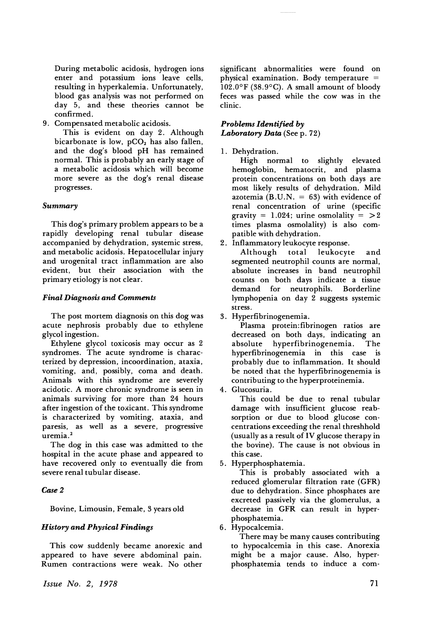During metabolic acidosis, hydrogen ions enter and potassium ions leave cells, resulting in hyperkalemia. Unfortunately, blood gas analysis was not performed on day 5, and these theories cannot be confirmed.

9. Compensated metabolic acidosis.

This is evident on day 2. Although bicarbonate is low,  $pCO<sub>2</sub>$  has also fallen, and the dog's blood pH has remained normal. This is probably an early stage of a metabolic acidosis which will become more severe as the dog's renal disease progresses.

#### *Summary*

This dog's primary problem appears to be a rapidly developing renal tubular disease accompanied by dehydration, systemic stress, and metabolic acidosis. Hepatocellular injury and urogenital tract inflammation are also evident, but their association with the primary etiology is not clear.

#### *Final Diagnosis and Comments*

The post mortem diagnosis on this dog was acute nephrosis probably due to ethylene glycol ingestion.

Ethylene glycol toxicosis may occur as 2 syndromes. The acute syndrome is characterized by depression, incoordination, ataxia, vomiting, and, possibly, coma and death. Animals with this syndrome are severely acidotic. A more chronic syndrome is seen in animals surviving for more than 24 hours after ingestion of the toxicant. This syndrome is characterized by vomiting, ataxia, and paresis, as well as a severe, progressive uremia.<sup>2</sup>

The dog in this case was admitted to the hospital in the acute phase and appeared to have recovered only to eventually die from severe renal tubular disease.

#### *Case* 2

Bovine, Limousin, Female, 3 years old

#### *History and Physical Findings*

This cow suddenly became anorexic and appeared to have severe abdominal pain. Rumen contractions were weak. No other

*Issue No.2, 1978*

significant abnormalities were found on physical examination. Body temperature  $=$ 102.0°F (38.9°C). A small amount of bloody feces was passed while the cow was in the clinic.

#### *Problems Identified by Laboratory Data* (See p. 72)

1. Dehydration.

High normal to slightly elevated hemoglobin, hematocrit, and plasma protein concentrations on both days are most likely results of dehydration. Mild azotemia (B.U.N. =  $63$ ) with evidence of renal concentration of urine (specific gravity = 1.024; urine osmolality =  $>2$ times plasma osmolality) is also compatible with dehydration.

2. Inflammatory leukocyte response.

Although total leukocyte and segmented neutrophil counts are normal, absolute increases in band neutrophil counts on both days indicate a tissue demand for lymphopenia on day 2 suggests systemic stress.

#### 3. Hyperfibrinogenemia.

Plasma protein:fibrinogen ratios are decreased on both days, indicating an absolute hyperfibrinogenemia. The hyperfibrinogenemia in this case is probably due to inflammation. It should be noted that the hyperfibrinogenemia is contributing to the hyperproteinemia.

4. Glucosuria.

This could be due to renal tubular damage with insufficient glucose reabsorption or due to blood glucose concentrations exceeding the renal threshhold (usually as a result of IV glucose therapy in the bovine). The cause is not obvious in this case.

5. Hyperphosphatemia.

This is probably associated with a reduced glomerular filtration rate (GFR) due to dehydration. Since phosphates are excreted passively via the glomerulus, a decrease in GFR can result in hyperphosphatemia.

6. Hypocalcemia.

There may be many causes contributing to hypocalcemia in this case. Anorexia might be a major cause. Also, hyperphosphatemia tends to induce a com-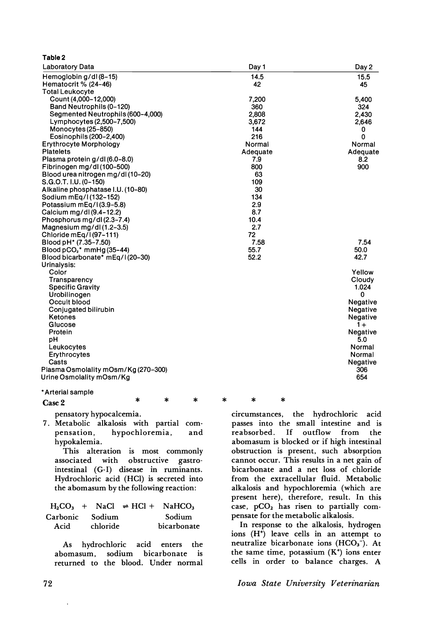| <b>Laboratory Data</b>              | Day 1    | Day 2       |
|-------------------------------------|----------|-------------|
| Hemoglobin g/dl(8-15)               | 14.5     | 15.5        |
| Hematocrit % (24-46)                | 42       | 45          |
| <b>Total Leukocyte</b>              |          |             |
| Count (4,000-12,000)                | 7,200    | 5.400       |
| Band Neutrophils (0-120)            | 360      | 324         |
| Segmented Neutrophils (600-4,000)   | 2.808    | 2,430       |
| Lymphocytes (2,500-7,500)           | 3,672    | 2,646       |
| Monocytes (25-850)                  | 144      | 0           |
| Eosinophils (200-2,400)             | 216      | $\mathbf 0$ |
| <b>Erythrocyte Morphology</b>       | Normal   | Normal      |
| <b>Platelets</b>                    | Adequate | Adequate    |
| Plasma protein g/dl(6.0-8.0)        | 7.9      | 8.2         |
| Fibrinogen mg/dl(100-500)           | 800      | 900         |
| Blood urea nitrogen mg/dl(10-20)    | 63       |             |
| S.G.O.T. I.U. (0-150)               | 109      |             |
| Alkaline phosphatase I.U. (10-80)   | 30       |             |
| Sodium mEq/I(132-152)               | 134      |             |
| Potassium mEg/I(3.9-5.8)            | 2.9      |             |
| Calcium mg/dl(9.4-12.2)             | 8.7      |             |
| Phosphorus mg/dl(2.3-7.4)           | 10.4     |             |
| Magnesium mg/dl $(1.2-3.5)$         | 2.7      |             |
| Chloride mEg/l(97-111)              | 72       |             |
| Blood pH <sup>*</sup> (7.35–7.50)   | 7.58     | 7.54        |
| Blood $pCO2$ * mmHg (35–44)         | 55.7     | 50.0        |
| Blood bicarbonate* mEq/l(20-30)     | 52.2     | 42.7        |
| Urinalysis:                         |          |             |
| Color                               |          | Yellow      |
| Transparency                        |          | Cloudy      |
| <b>Specific Gravity</b>             |          | 1.024       |
| Urobilinogen                        |          | 0           |
| Occult blood                        |          | Negative    |
| Conjugated bilirubin                |          | Negative    |
| <b>Ketones</b>                      |          | Negative    |
| Glucose                             |          | $1+$        |
| Protein                             |          | Negative    |
| рH                                  |          | 5.0         |
| Leukocytes                          |          | Normal      |
| Erythrocytes                        |          | Normal      |
| Casts                               |          | Negative    |
| Plasma Osmolality mOsm/Kg (270-300) |          | 306         |
| Urine Osmolality mOsm/Kg            |          | 654         |
|                                     |          |             |
| * Arterial sample                   |          |             |

Case 2

Table 2

\* pensatory hypocalcemia.

7. Metabolic alkalosis with partial compensation, hypochloremia, and hypokalemia.

This alteration is most commonly associated with obstructive gastrointestinal (G-I) disease in ruminants. Hydrochloric acid (HC1) is secreted into the abomasum by the following reaction:

|                 |          | $H_2CO_3$ + NaCl $\Rightarrow HCl + NaHCO_3$ |
|-----------------|----------|----------------------------------------------|
| Carbonic Sodium |          | Sodium                                       |
| Acid            | chloride | bicarbonate                                  |

As hydrochloric acid enters the<br>abomasum, sodium bicarbonate is sodium bicarbonate is returned to the blood. Under normal

\* \* \* \*\*

circumstances, the hydrochloric acid passes into the small intestine and is reabsorbed. If outflow from the abomasum is blocked or if high intestinal obstruction is present, such absorption cannot occur. This results in a net gain of bicarbonate and a net loss of chloride from the extracellular fluid. Metabolic alkalosis and hypochloremia (which are present here), therefore, result. In this case,  $pCO<sub>2</sub>$  has risen to partially compensate for the metabolic alkalosis.

In response to the alkalosis, hydrogen ions (H<sup>+</sup>) leave cells in an attempt to neutralize bicarbonate ions  $(HCO<sub>3</sub><sup>-</sup>)$ . At the same time, potassium  $(K^+)$  ions enter cells in order to balance charges. A

72 *Iowa State Unz"versz"ty Veterz"narz"an*

 $\ddot{\phantom{a}}$